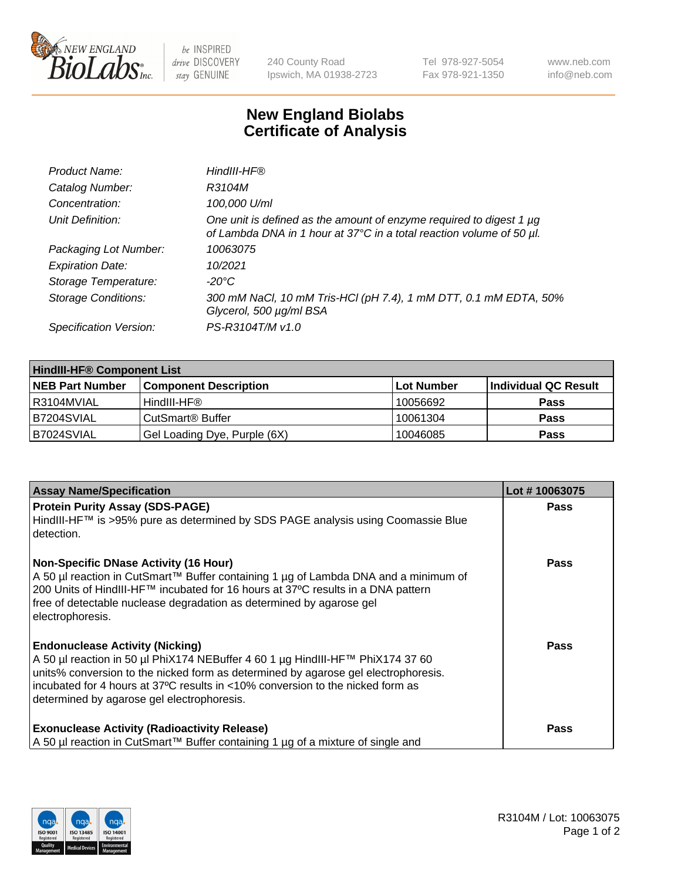

be INSPIRED drive DISCOVERY stay GENUINE

240 County Road Ipswich, MA 01938-2723 Tel 978-927-5054 Fax 978-921-1350 www.neb.com info@neb.com

## **New England Biolabs Certificate of Analysis**

| Product Name:              | HindIII-HF®                                                                                                                                 |
|----------------------------|---------------------------------------------------------------------------------------------------------------------------------------------|
| Catalog Number:            | R3104M                                                                                                                                      |
| Concentration:             | 100,000 U/ml                                                                                                                                |
| Unit Definition:           | One unit is defined as the amount of enzyme required to digest 1 µg<br>of Lambda DNA in 1 hour at 37°C in a total reaction volume of 50 µl. |
| Packaging Lot Number:      | 10063075                                                                                                                                    |
| <b>Expiration Date:</b>    | 10/2021                                                                                                                                     |
| Storage Temperature:       | $-20^{\circ}$ C                                                                                                                             |
| <b>Storage Conditions:</b> | 300 mM NaCl, 10 mM Tris-HCl (pH 7.4), 1 mM DTT, 0.1 mM EDTA, 50%<br>Glycerol, 500 µg/ml BSA                                                 |
| Specification Version:     | PS-R3104T/M v1.0                                                                                                                            |

| <b>HindIII-HF® Component List</b> |                              |            |                      |  |  |
|-----------------------------------|------------------------------|------------|----------------------|--|--|
| <b>NEB Part Number</b>            | <b>Component Description</b> | Lot Number | Individual QC Result |  |  |
| I R3104MVIAL                      | HindIII-HF®                  | 10056692   | <b>Pass</b>          |  |  |
| B7204SVIAL                        | CutSmart <sup>®</sup> Buffer | 10061304   | <b>Pass</b>          |  |  |
| B7024SVIAL                        | Gel Loading Dye, Purple (6X) | 10046085   | <b>Pass</b>          |  |  |

| <b>Assay Name/Specification</b>                                                                                                                                                                                                                                                                                                                | Lot #10063075 |
|------------------------------------------------------------------------------------------------------------------------------------------------------------------------------------------------------------------------------------------------------------------------------------------------------------------------------------------------|---------------|
| <b>Protein Purity Assay (SDS-PAGE)</b><br>HindIII-HF™ is >95% pure as determined by SDS PAGE analysis using Coomassie Blue<br>detection.                                                                                                                                                                                                       | <b>Pass</b>   |
| <b>Non-Specific DNase Activity (16 Hour)</b><br>A 50 µl reaction in CutSmart™ Buffer containing 1 µg of Lambda DNA and a minimum of<br>200 Units of HindIII-HF™ incubated for 16 hours at 37°C results in a DNA pattern<br>free of detectable nuclease degradation as determined by agarose gel<br>electrophoresis.                            | Pass          |
| <b>Endonuclease Activity (Nicking)</b><br>A 50 µl reaction in 50 µl PhiX174 NEBuffer 4 60 1 µg HindIII-HF™ PhiX174 37 60<br>units% conversion to the nicked form as determined by agarose gel electrophoresis.<br>incubated for 4 hours at 37°C results in <10% conversion to the nicked form as<br>determined by agarose gel electrophoresis. | Pass          |
| <b>Exonuclease Activity (Radioactivity Release)</b><br>A 50 µl reaction in CutSmart™ Buffer containing 1 µg of a mixture of single and                                                                                                                                                                                                         | Pass          |